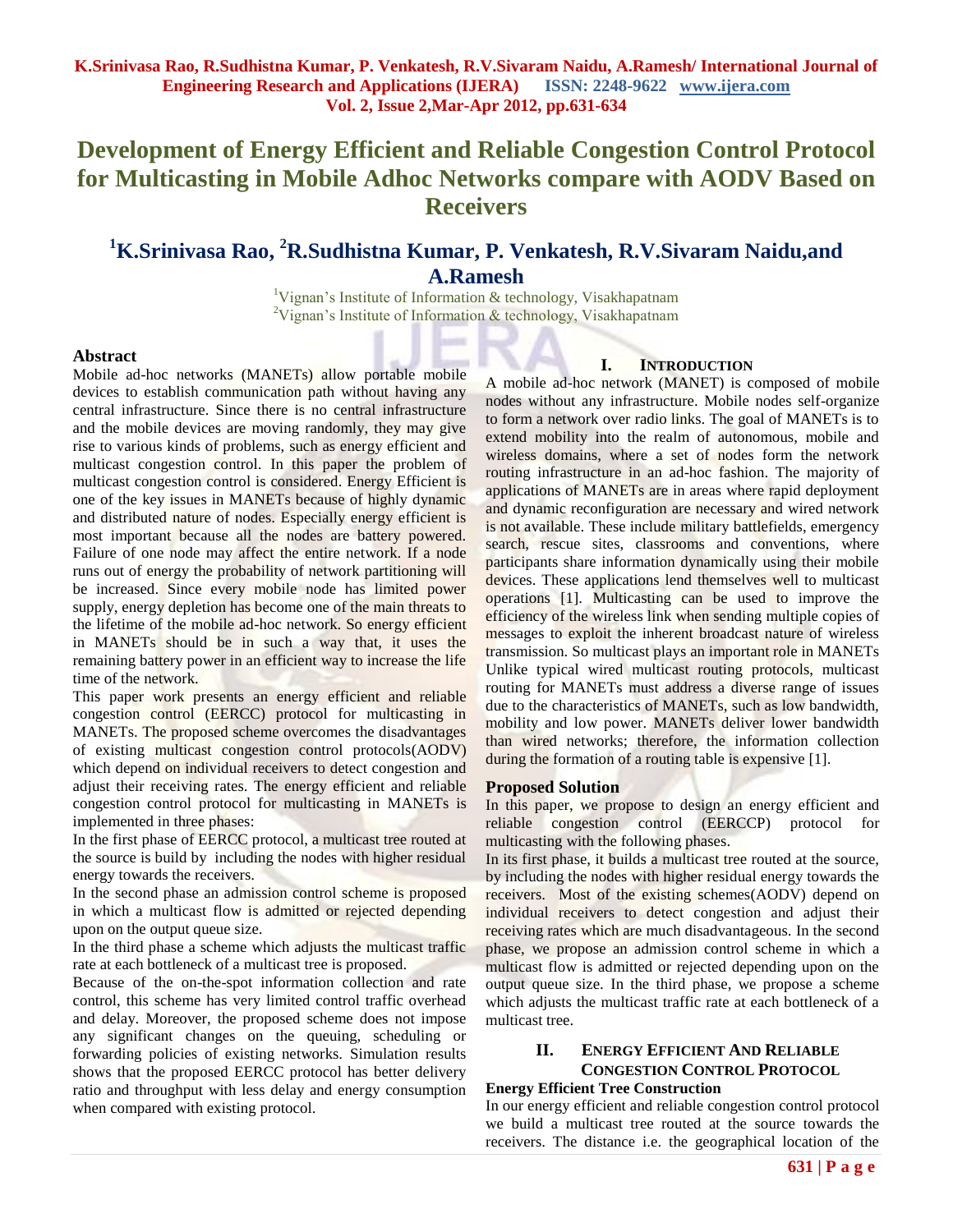# **Development of Energy Efficient and Reliable Congestion Control Protocol for Multicasting in Mobile Adhoc Networks compare with AODV Based on Receivers**

## **<sup>1</sup>K.Srinivasa Rao, <sup>2</sup>R.Sudhistna Kumar, P. Venkatesh, R.V.Sivaram Naidu,and A.Ramesh**

<sup>1</sup>Vignan's Institute of Information & technology, Visakhapatnam <sup>2</sup>Vignan's Institute of Information & technology, Visakhapatnam

## **Abstract**

Mobile ad-hoc networks (MANETs) allow portable mobile devices to establish communication path without having any central infrastructure. Since there is no central infrastructure and the mobile devices are moving randomly, they may give rise to various kinds of problems, such as energy efficient and multicast congestion control. In this paper the problem of multicast congestion control is considered. Energy Efficient is one of the key issues in MANETs because of highly dynamic and distributed nature of nodes. Especially energy efficient is most important because all the nodes are battery powered. Failure of one node may affect the entire network. If a node runs out of energy the probability of network partitioning will be increased. Since every mobile node has limited power supply, energy depletion has become one of the main threats to the lifetime of the mobile ad-hoc network. So energy efficient in MANETs should be in such a way that, it uses the remaining battery power in an efficient way to increase the life time of the network.

This paper work presents an energy efficient and reliable congestion control (EERCC) protocol for multicasting in MANETs. The proposed scheme overcomes the disadvantages of existing multicast congestion control protocols(AODV) which depend on individual receivers to detect congestion and adjust their receiving rates. The energy efficient and reliable congestion control protocol for multicasting in MANETs is implemented in three phases:

In the first phase of EERCC protocol, a multicast tree routed at the source is build by including the nodes with higher residual energy towards the receivers.

In the second phase an admission control scheme is proposed in which a multicast flow is admitted or rejected depending upon on the output queue size.

In the third phase a scheme which adjusts the multicast traffic rate at each bottleneck of a multicast tree is proposed.

Because of the on-the-spot information collection and rate control, this scheme has very limited control traffic overhead and delay. Moreover, the proposed scheme does not impose any significant changes on the queuing, scheduling or forwarding policies of existing networks. Simulation results shows that the proposed EERCC protocol has better delivery ratio and throughput with less delay and energy consumption when compared with existing protocol.

## **I. INTRODUCTION**

A mobile ad-hoc network (MANET) is composed of mobile nodes without any infrastructure. Mobile nodes self-organize to form a network over radio links. The goal of MANETs is to extend mobility into the realm of autonomous, mobile and wireless domains, where a set of nodes form the network routing infrastructure in an ad-hoc fashion. The majority of applications of MANETs are in areas where rapid deployment and dynamic reconfiguration are necessary and wired network is not available. These include military battlefields, emergency search, rescue sites, classrooms and conventions, where participants share information dynamically using their mobile devices. These applications lend themselves well to multicast operations [1]. Multicasting can be used to improve the efficiency of the wireless link when sending multiple copies of messages to exploit the inherent broadcast nature of wireless transmission. So multicast plays an important role in MANETs Unlike typical wired multicast routing protocols, multicast routing for MANETs must address a diverse range of issues due to the characteristics of MANETs, such as low bandwidth, mobility and low power. MANETs deliver lower bandwidth than wired networks; therefore, the information collection during the formation of a routing table is expensive [1].

#### **Proposed Solution**

In this paper, we propose to design an energy efficient and reliable congestion control (EERCCP) protocol for multicasting with the following phases.

In its first phase, it builds a multicast tree routed at the source, by including the nodes with higher residual energy towards the receivers. Most of the existing schemes(AODV) depend on individual receivers to detect congestion and adjust their receiving rates which are much disadvantageous. In the second phase, we propose an admission control scheme in which a multicast flow is admitted or rejected depending upon on the output queue size. In the third phase, we propose a scheme which adjusts the multicast traffic rate at each bottleneck of a multicast tree.

## **II. ENERGY EFFICIENT AND RELIABLE CONGESTION CONTROL PROTOCOL**

## **Energy Efficient Tree Construction**

In our energy efficient and reliable congestion control protocol we build a multicast tree routed at the source towards the receivers. The distance i.e. the geographical location of the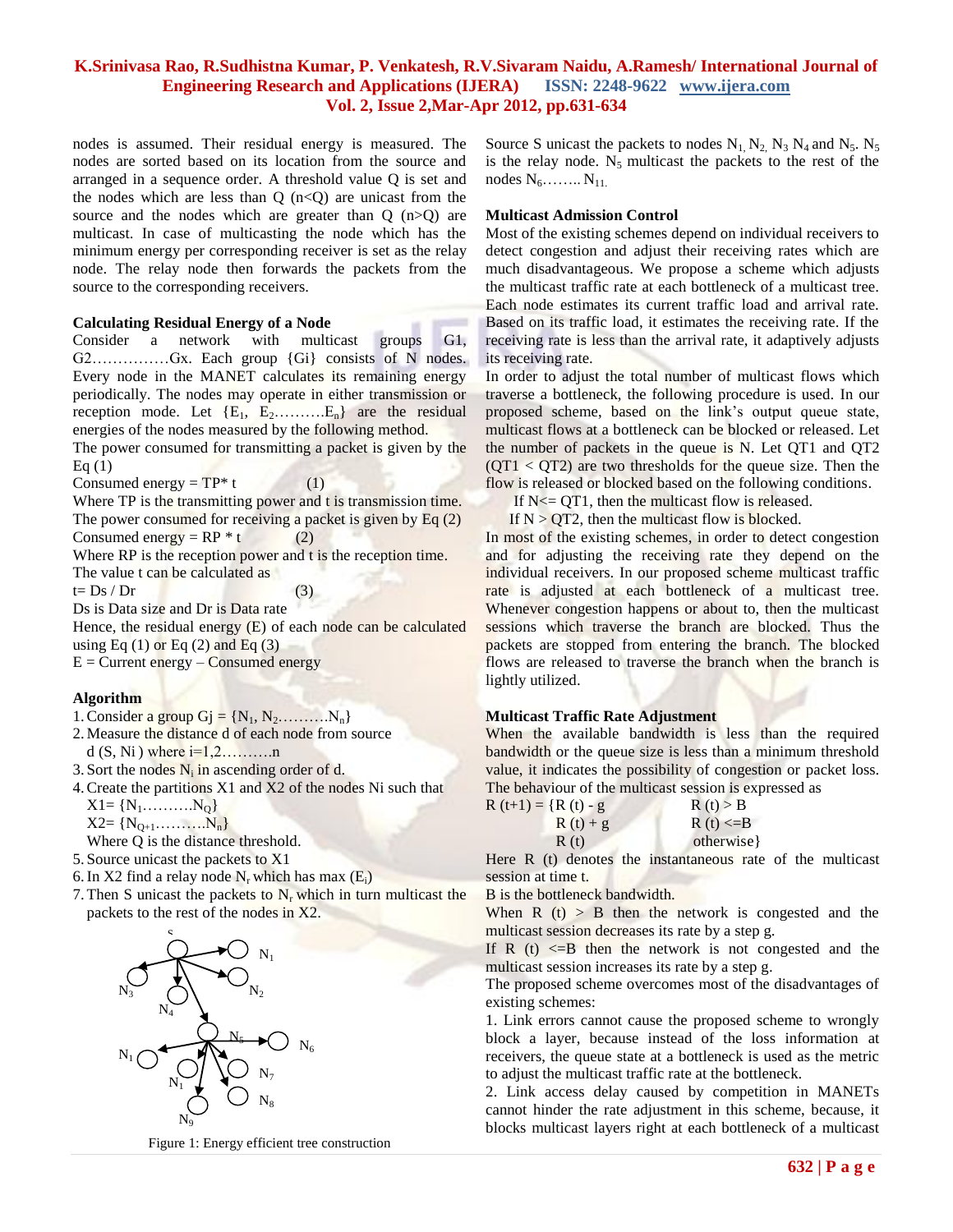## **K.Srinivasa Rao, R.Sudhistna Kumar, P. Venkatesh, R.V.Sivaram Naidu, A.Ramesh/ International Journal of Engineering Research and Applications (IJERA) ISSN: 2248-9622 www.ijera.com Vol. 2, Issue 2,Mar-Apr 2012, pp.631-634**

nodes is assumed. Their residual energy is measured. The nodes are sorted based on its location from the source and arranged in a sequence order. A threshold value Q is set and the nodes which are less than  $Q(n< Q)$  are unicast from the source and the nodes which are greater than  $Q(n>Q)$  are multicast. In case of multicasting the node which has the minimum energy per corresponding receiver is set as the relay node. The relay node then forwards the packets from the source to the corresponding receivers.

#### **Calculating Residual Energy of a Node**

Consider a network with multicast groups G1, G2……………Gx. Each group {Gi} consists of N nodes. Every node in the MANET calculates its remaining energy periodically. The nodes may operate in either transmission or reception mode. Let  ${E_1, E_2, \ldots, E_n}$  are the residual energies of the nodes measured by the following method.

The power consumed for transmitting a packet is given by the Eq  $(1)$ 

Consumed energy =  $TP*$  t (1)

Where TP is the transmitting power and t is transmission time. The power consumed for receiving a packet is given by  $Eq(2)$ 

Consumed energy =  $RP * t$  (2)

Where RP is the reception power and t is the reception time. The value t can be calculated as

 $t=Ds/Dr$  (3)

Ds is Data size and Dr is Data rate

Hence, the residual energy (E) of each node can be calculated using Eq  $(1)$  or Eq  $(2)$  and Eq  $(3)$ 

 $E =$  Current energy – Consumed energy

#### **Algorithm**

1. Consider a group  $Gj = \{N_1, N_2, \ldots, N_n\}$ 

- 2.Measure the distance d of each node from source d  $(S, Ni)$  where  $i=1,2,\ldots,m$
- 3. Sort the nodes  $N_i$  in ascending order of d.
- 4.Create the partitions X1 and X2 of the nodes Ni such that  $X1 = \{N_1, \ldots, N_Q\}$

 $X2 = \{N_{0+1}, \ldots, N_n\}$ 

Where Q is the distance threshold.

- 5. Source unicast the packets to X1
- 6. In X2 find a relay node  $N_r$  which has max  $(E_i)$
- 7. Then S unicast the packets to  $N_r$  which in turn multicast the packets to the rest of the nodes in X2.



Figure 1: Energy efficient tree construction

Source S unicast the packets to nodes  $N_1$ ,  $N_2$ ,  $N_3$ ,  $N_4$  and  $N_5$ .  $N_5$ is the relay node.  $N_5$  multicast the packets to the rest of the nodes  $N_6$ ……..  $N_{11}$ .

#### **Multicast Admission Control**

Most of the existing schemes depend on individual receivers to detect congestion and adjust their receiving rates which are much disadvantageous. We propose a scheme which adjusts the multicast traffic rate at each bottleneck of a multicast tree. Each node estimates its current traffic load and arrival rate. Based on its traffic load, it estimates the receiving rate. If the receiving rate is less than the arrival rate, it adaptively adjusts its receiving rate.

In order to adjust the total number of multicast flows which traverse a bottleneck, the following procedure is used. In our proposed scheme, based on the link's output queue state, multicast flows at a bottleneck can be blocked or released. Let the number of packets in the queue is N. Let QT1 and QT2  $(QT1 < QT2)$  are two thresholds for the queue size. Then the flow is released or blocked based on the following conditions.

If  $N \leq QT1$ , then the multicast flow is released.

If  $N > QT2$ , then the multicast flow is **blocked**.

In most of the existing schemes, in order to detect congestion and for adjusting the receiving rate they depend on the individual receivers. In our proposed scheme multicast traffic rate is adjusted at each bottleneck of a multicast tree. Whenever congestion happens or about to, then the multicast sessions which traverse the branch are blocked. Thus the packets are stopped from entering the branch. The blocked flows are released to traverse the branch when the branch is lightly utilized.

#### **Multicast Traffic Rate Adjustment**

When the available bandwidth is less than the required bandwidth or the queue size is less than a minimum threshold value, it indicates the possibility of congestion or packet loss. The behaviour of the multicast session is expressed as

| $R(t+1) = {R(t) - g}$ | R(t) > B       |
|-----------------------|----------------|
| $R(t) + g$            | R (t) $\leq$ B |
| R(t)                  | otherwise }    |

Here R (t) denotes the instantaneous rate of the multicast session at time t.

B is the bottleneck bandwidth.

When  $R(t) > B$  then the network is congested and the multicast session decreases its rate by a step g.

If R  $(t)$   $\leq$  B then the network is not congested and the multicast session increases its rate by a step g.

The proposed scheme overcomes most of the disadvantages of existing schemes:

1. Link errors cannot cause the proposed scheme to wrongly block a layer, because instead of the loss information at receivers, the queue state at a bottleneck is used as the metric to adjust the multicast traffic rate at the bottleneck.

2. Link access delay caused by competition in MANETs cannot hinder the rate adjustment in this scheme, because, it blocks multicast layers right at each bottleneck of a multicast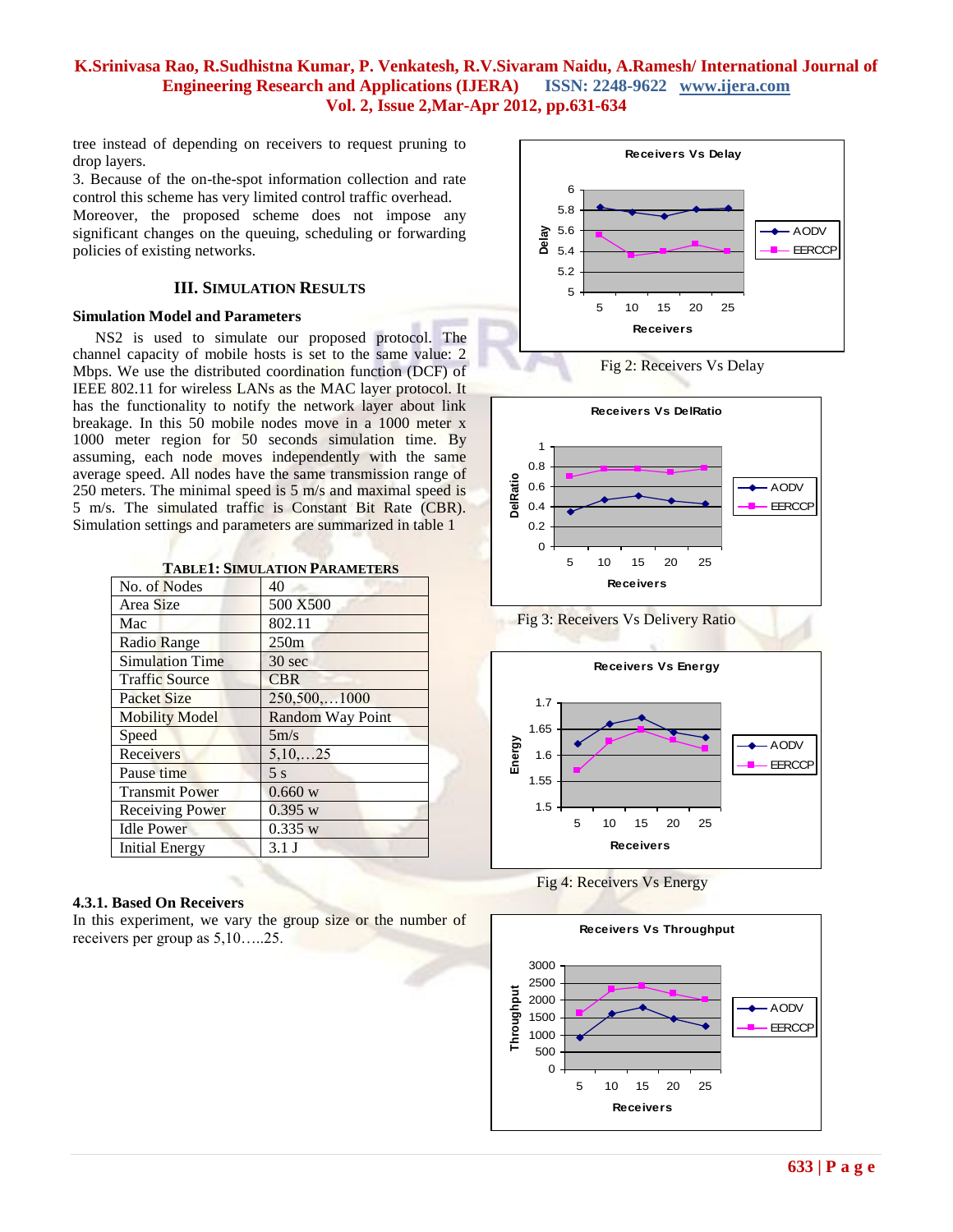## **K.Srinivasa Rao, R.Sudhistna Kumar, P. Venkatesh, R.V.Sivaram Naidu, A.Ramesh/ International Journal of Engineering Research and Applications (IJERA) ISSN: 2248-9622 www.ijera.com Vol. 2, Issue 2,Mar-Apr 2012, pp.631-634**

tree instead of depending on receivers to request pruning to drop layers.

3. Because of the on-the-spot information collection and rate control this scheme has very limited control traffic overhead.

Moreover, the proposed scheme does not impose any significant changes on the queuing, scheduling or forwarding policies of existing networks.

## **III. SIMULATION RESULTS**

#### **Simulation Model and Parameters**

NS2 is used to simulate our proposed protocol. The channel capacity of mobile hosts is set to the same value: 2 Mbps. We use the distributed coordination function (DCF) of IEEE 802.11 for wireless LANs as the MAC layer protocol. It has the functionality to notify the network layer about link breakage. In this 50 mobile nodes move in a 1000 meter x 1000 meter region for 50 seconds simulation time. By assuming, each node moves independently with the same average speed. All nodes have the same transmission range of 250 meters. The minimal speed is 5 m/s and maximal speed is 5 m/s. The simulated traffic is Constant Bit Rate (CBR). Simulation settings and parameters are summarized in table 1

|  | <b>TABLE1: SIMULATION PARAMETERS</b> |  |
|--|--------------------------------------|--|
|--|--------------------------------------|--|

| No. of Nodes           | 40                      |
|------------------------|-------------------------|
| Area Size              | 500 X500                |
| Mac                    | 802.11                  |
| <b>Radio Range</b>     | 250m                    |
| <b>Simulation Time</b> | $30 \text{ sec}$        |
| <b>Traffic Source</b>  | <b>CBR</b>              |
| <b>Packet Size</b>     | 250,500,1000            |
| <b>Mobility Model</b>  | <b>Random Way Point</b> |
| Speed                  | 5m/s                    |
| Receivers              | 5,10,25                 |
| Pause time             | 5 <sub>s</sub>          |
| <b>Transmit Power</b>  | 0.660 w                 |
| <b>Receiving Power</b> | 0.395 w                 |
| <b>Idle Power</b>      | 0.335 w                 |
| Initial Energy         | $3.1$ J                 |

#### **4.3.1. Based On Receivers**

In this experiment, we vary the group size or the number of receivers per group as 5,10…..25.











Fig 4: Receivers Vs Energy